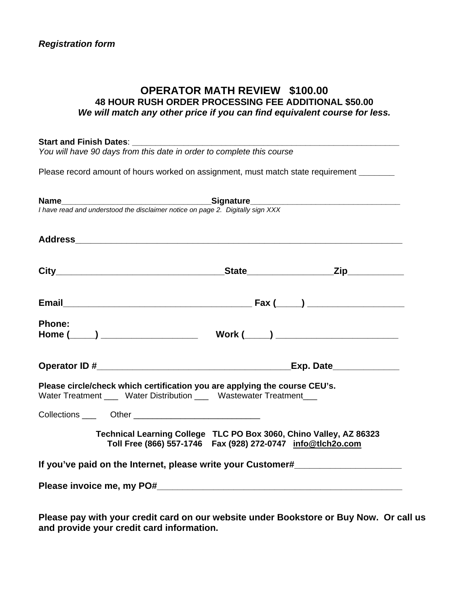### **OPERATOR MATH REVIEW \$100.00 48 HOUR RUSH ORDER PROCESSING FEE ADDITIONAL \$50.00**  *We will match any other price if you can find equivalent course for less.*

| Start and Finish Dates: Value 10                                               |                                                                                                                                                    |
|--------------------------------------------------------------------------------|----------------------------------------------------------------------------------------------------------------------------------------------------|
| You will have 90 days from this date in order to complete this course          |                                                                                                                                                    |
|                                                                                | Please record amount of hours worked on assignment, must match state requirement ______                                                            |
| I have read and understood the disclaimer notice on page 2. Digitally sign XXX |                                                                                                                                                    |
|                                                                                |                                                                                                                                                    |
|                                                                                |                                                                                                                                                    |
|                                                                                |                                                                                                                                                    |
| <b>Phone:</b>                                                                  |                                                                                                                                                    |
|                                                                                | <b>Exp. Date______________</b>                                                                                                                     |
|                                                                                | Please circle/check which certification you are applying the course CEU's.<br>Water Treatment ____ Water Distribution ___ Wastewater Treatment ___ |
| Collections _____  Other __________________________________                    |                                                                                                                                                    |
|                                                                                | Technical Learning College TLC PO Box 3060, Chino Valley, AZ 86323<br>Toll Free (866) 557-1746  Fax (928) 272-0747  info@tlch2o.com                |
|                                                                                | If you've paid on the Internet, please write your Customer#                                                                                        |
|                                                                                |                                                                                                                                                    |
|                                                                                |                                                                                                                                                    |

**Please pay with your credit card on our website under Bookstore or Buy Now. Or call us and provide your credit card information.**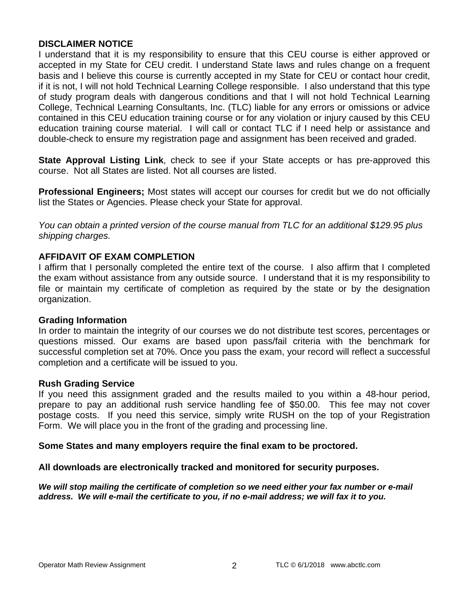### **DISCLAIMER NOTICE**

I understand that it is my responsibility to ensure that this CEU course is either approved or accepted in my State for CEU credit. I understand State laws and rules change on a frequent basis and I believe this course is currently accepted in my State for CEU or contact hour credit, if it is not, I will not hold Technical Learning College responsible. I also understand that this type of study program deals with dangerous conditions and that I will not hold Technical Learning College, Technical Learning Consultants, Inc. (TLC) liable for any errors or omissions or advice contained in this CEU education training course or for any violation or injury caused by this CEU education training course material. I will call or contact TLC if I need help or assistance and double-check to ensure my registration page and assignment has been received and graded.

**State Approval Listing Link**, check to see if your State accepts or has pre-approved this course. Not all States are listed. Not all courses are listed.

**Professional Engineers;** Most states will accept our courses for credit but we do not officially list the States or Agencies. Please check your State for approval.

*You can obtain a printed version of the course manual from TLC for an additional \$129.95 plus shipping charges.* 

### **AFFIDAVIT OF EXAM COMPLETION**

I affirm that I personally completed the entire text of the course. I also affirm that I completed the exam without assistance from any outside source. I understand that it is my responsibility to file or maintain my certificate of completion as required by the state or by the designation organization.

#### **Grading Information**

In order to maintain the integrity of our courses we do not distribute test scores, percentages or questions missed. Our exams are based upon pass/fail criteria with the benchmark for successful completion set at 70%. Once you pass the exam, your record will reflect a successful completion and a certificate will be issued to you.

#### **Rush Grading Service**

If you need this assignment graded and the results mailed to you within a 48-hour period, prepare to pay an additional rush service handling fee of \$50.00. This fee may not cover postage costs. If you need this service, simply write RUSH on the top of your Registration Form. We will place you in the front of the grading and processing line.

#### **Some States and many employers require the final exam to be proctored.**

**All downloads are electronically tracked and monitored for security purposes.** 

*We will stop mailing the certificate of completion so we need either your fax number or e-mail address. We will e-mail the certificate to you, if no e-mail address; we will fax it to you.*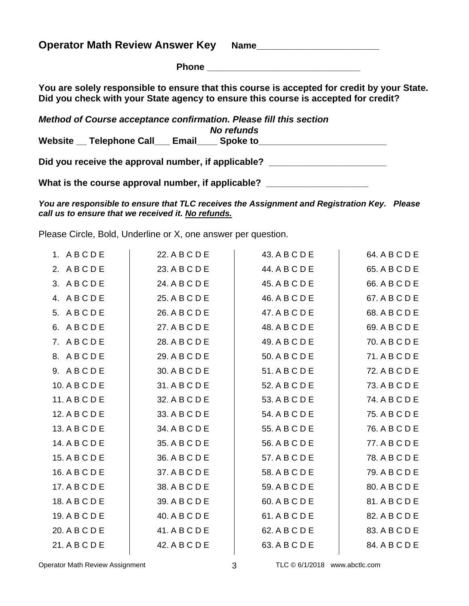**Operator Math Review Answer Key Name\_\_\_\_\_\_\_\_\_\_\_\_\_\_\_\_\_\_\_\_\_\_\_\_**

| Phone |
|-------|
|-------|

**You are solely responsible to ensure that this course is accepted for credit by your State. Did you check with your State agency to ensure this course is accepted for credit?** 

| Method of Course acceptance confirmation. Please fill this section |  |  |  |  |
|--------------------------------------------------------------------|--|--|--|--|
| No refunds                                                         |  |  |  |  |
| Website __ Telephone Call __ Email<br><b>Spoke to</b>              |  |  |  |  |
| Did you receive the approval number, if applicable?                |  |  |  |  |

What is the course approval number, if applicable? \_\_\_\_\_\_\_\_\_\_\_\_\_\_\_\_\_\_\_\_\_\_\_\_\_\_\_\_\_

*You are responsible to ensure that TLC receives the Assignment and Registration Key. Please call us to ensure that we received it. No refunds.* 

Please Circle, Bold, Underline or X, one answer per question.

| 1. ABCDE      | 22. A B C D E | 43. A B C D E | 64. A B C D E |
|---------------|---------------|---------------|---------------|
| 2. ABCDE      | 23. A B C D E | 44. A B C D E | 65. A B C D E |
| 3. ABCDE      | 24. A B C D E | 45. A B C D E | 66. A B C D E |
| 4. ABCDE      | 25. A B C D E | 46. A B C D E | 67. A B C D E |
| 5. ABCDE      | 26. A B C D E | 47. A B C D E | 68. A B C D E |
| 6. ABCDE      | 27. A B C D E | 48. A B C D E | 69. A B C D E |
| 7. ABCDE      | 28. A B C D E | 49. A B C D E | 70. A B C D E |
| 8. ABCDE      | 29. A B C D E | 50. A B C D E | 71. A B C D E |
| 9. ABCDE      | 30. A B C D E | 51. A B C D E | 72. A B C D E |
| 10. A B C D E | 31. A B C D E | 52. A B C D E | 73. A B C D E |
| 11. A B C D E | 32. A B C D E | 53. A B C D E | 74. A B C D E |
| 12. A B C D E | 33. A B C D E | 54. A B C D E | 75. A B C D E |
| 13. A B C D E | 34. A B C D E | 55. A B C D E | 76. A B C D E |
| 14. A B C D E | 35. A B C D E | 56. A B C D E | 77. A B C D E |
| 15. A B C D E | 36. A B C D E | 57. A B C D E | 78. A B C D E |
| 16. A B C D E | 37. A B C D E | 58. A B C D E | 79. A B C D E |
| 17. A B C D E | 38. A B C D E | 59. A B C D E | 80. A B C D E |
| 18. A B C D E | 39. A B C D E | 60. A B C D E | 81. A B C D E |
| 19. A B C D E | 40. A B C D E | 61. A B C D E | 82. A B C D E |
| 20. A B C D E | 41. A B C D E | 62. A B C D E | 83. A B C D E |
| 21. A B C D E | 42. A B C D E | 63. A B C D E | 84. A B C D E |
|               |               |               |               |

Operator Math Review Assignment 1992 12:000 13 TLC © 6/1/2018 www.abctlc.com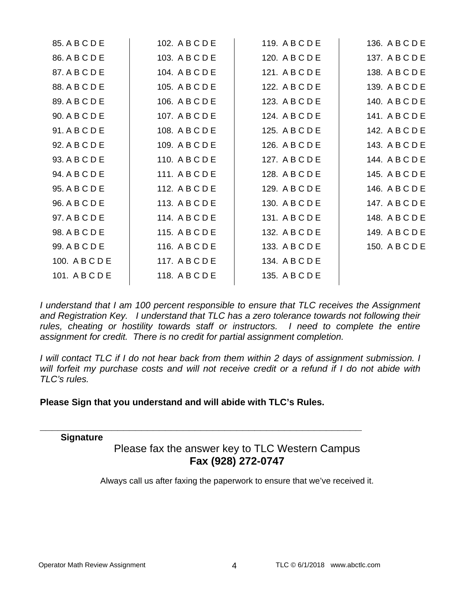| 85. A B C D E  | 102. A B C D E | 119. A B C D E | 136. A B C D E |
|----------------|----------------|----------------|----------------|
| 86. A B C D E  | 103. A B C D E | 120. A B C D E | 137. A B C D E |
| 87. A B C D E  | 104. A B C D E | 121. A B C D E | 138. A B C D E |
| 88. A B C D E  | 105. A B C D E | 122. A B C D E | 139. A B C D E |
| 89. A B C D E  | 106. A B C D E | 123. A B C D E | 140. A B C D E |
| 90. A B C D E  | 107. A B C D E | 124. A B C D E | 141. A B C D E |
| 91. A B C D E  | 108. A B C D E | 125. A B C D E | 142. A B C D E |
| 92. A B C D E  | 109. A B C D E | 126. A B C D E | 143. A B C D E |
| 93. A B C D E  | 110. A B C D E | 127. A B C D E | 144. A B C D E |
| 94. A B C D E  | 111. A B C D E | 128. A B C D E | 145. A B C D E |
| 95. A B C D E  | 112. A B C D E | 129. A B C D E | 146. A B C D E |
| 96. A B C D E  | 113. A B C D E | 130. A B C D E | 147. A B C D E |
| 97. A B C D E  | 114. A B C D E | 131. A B C D E | 148. A B C D E |
| 98. A B C D E  | 115. A B C D E | 132. A B C D E | 149. A B C D E |
| 99. A B C D E  | 116. A B C D E | 133. A B C D E | 150. A B C D E |
| 100. A B C D E | 117. A B C D E | 134. A B C D E |                |
| 101. A B C D E | 118. A B C D E | 135. A B C D E |                |
|                |                |                |                |

*I* understand that *I* am 100 percent responsible to ensure that TLC receives the Assignment *and Registration Key. I understand that TLC has a zero tolerance towards not following their*  rules, cheating or hostility towards staff or instructors. I need to complete the entire *assignment for credit. There is no credit for partial assignment completion.* 

*I* will contact TLC if I do not hear back from them within 2 days of assignment submission. I *will forfeit my purchase costs and will not receive credit or a refund if I do not abide with TLC's rules.* 

### **Please Sign that you understand and will abide with TLC's Rules.**

**\_\_\_\_\_\_\_\_\_\_\_\_\_\_\_\_\_\_\_\_\_\_\_\_\_\_\_\_\_\_\_\_\_\_\_\_\_\_\_\_\_\_\_\_\_\_\_\_\_\_\_\_\_\_** 

#### **Signature**

# Please fax the answer key to TLC Western Campus **Fax (928) 272-0747**

Always call us after faxing the paperwork to ensure that we've received it.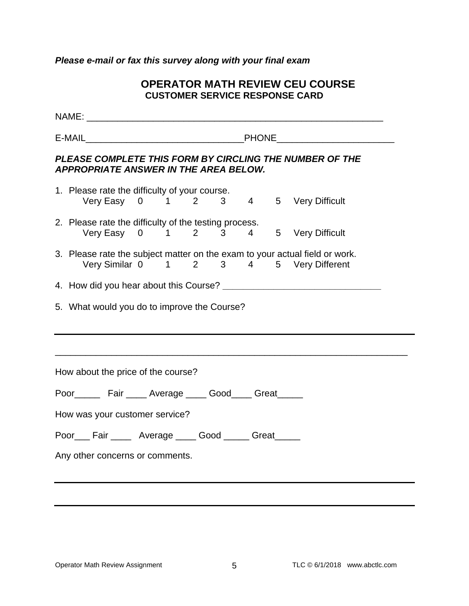### *Please e-mail or fax this survey along with your final exam*

### **OPERATOR MATH REVIEW CEU COURSE CUSTOMER SERVICE RESPONSE CARD**

| PLEASE COMPLETE THIS FORM BY CIRCLING THE NUMBER OF THE<br><b>APPROPRIATE ANSWER IN THE AREA BELOW.</b>                |  |  |  |  |  |  |
|------------------------------------------------------------------------------------------------------------------------|--|--|--|--|--|--|
| 1. Please rate the difficulty of your course.<br>Very Easy 0 1 2 3 4 5 Very Difficult                                  |  |  |  |  |  |  |
| 2. Please rate the difficulty of the testing process.<br>Very Easy 0 1 2 3 4 5 Very Difficult                          |  |  |  |  |  |  |
| 3. Please rate the subject matter on the exam to your actual field or work.<br>Very Similar 0 1 2 3 4 5 Very Different |  |  |  |  |  |  |
|                                                                                                                        |  |  |  |  |  |  |
| 5. What would you do to improve the Course?                                                                            |  |  |  |  |  |  |
| How about the price of the course?                                                                                     |  |  |  |  |  |  |
| Poor________ Fair ______ Average _____ Good_____ Great______                                                           |  |  |  |  |  |  |
| How was your customer service?                                                                                         |  |  |  |  |  |  |
| Poor___ Fair _____ Average ____ Good _____ Great_____                                                                  |  |  |  |  |  |  |
| Any other concerns or comments.                                                                                        |  |  |  |  |  |  |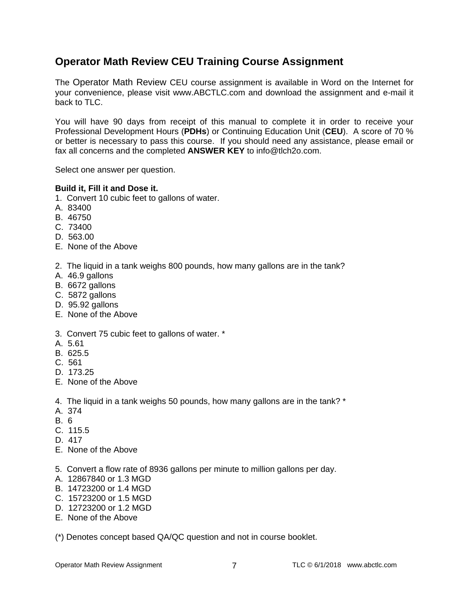# **Operator Math Review CEU Training Course Assignment**

The Operator Math Review CEU course assignment is available in Word on the Internet for your convenience, please visit www.ABCTLC.com and download the assignment and e-mail it back to TLC.

You will have 90 days from receipt of this manual to complete it in order to receive your Professional Development Hours (**PDHs**) or Continuing Education Unit (**CEU**). A score of 70 % or better is necessary to pass this course. If you should need any assistance, please email or fax all concerns and the completed **ANSWER KEY** to info@tlch2o.com.

Select one answer per question.

#### **Build it, Fill it and Dose it.**

- 1. Convert 10 cubic feet to gallons of water.
- A. 83400
- B. 46750
- C. 73400
- D. 563.00
- E. None of the Above
- 2. The liquid in a tank weighs 800 pounds, how many gallons are in the tank?
- A. 46.9 gallons
- B. 6672 gallons
- C. 5872 gallons
- D. 95.92 gallons
- E. None of the Above
- 3. Convert 75 cubic feet to gallons of water. \*
- A. 5.61
- B. 625.5
- C. 561
- D. 173.25
- E. None of the Above
- 4. The liquid in a tank weighs 50 pounds, how many gallons are in the tank? \*
- A. 374
- B. 6
- C. 115.5
- D. 417
- E. None of the Above
- 5. Convert a flow rate of 8936 gallons per minute to million gallons per day.
- A. 12867840 or 1.3 MGD
- B. 14723200 or 1.4 MGD
- C. 15723200 or 1.5 MGD
- D. 12723200 or 1.2 MGD
- E. None of the Above

(\*) Denotes concept based QA/QC question and not in course booklet.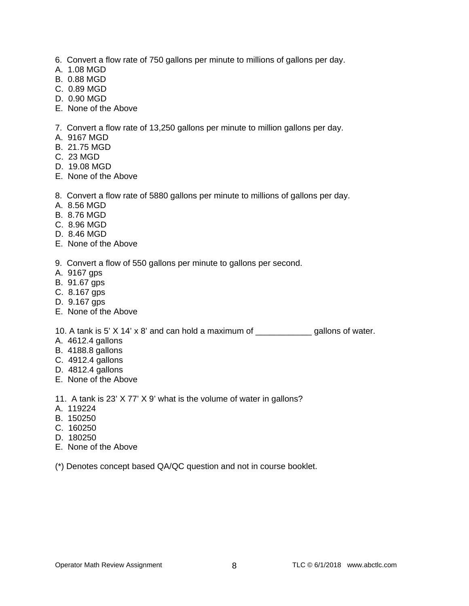- 6. Convert a flow rate of 750 gallons per minute to millions of gallons per day.
- A. 1.08 MGD
- B. 0.88 MGD
- C. 0.89 MGD
- D. 0.90 MGD
- E. None of the Above

7. Convert a flow rate of 13,250 gallons per minute to million gallons per day.

- A. 9167 MGD
- B. 21.75 MGD
- C. 23 MGD
- D. 19.08 MGD
- E. None of the Above

8. Convert a flow rate of 5880 gallons per minute to millions of gallons per day.

- A. 8.56 MGD
- B. 8.76 MGD
- C. 8.96 MGD
- D. 8.46 MGD
- E. None of the Above
- 9. Convert a flow of 550 gallons per minute to gallons per second.
- A. 9167 gps
- B. 91.67 gps
- C. 8.167 gps
- D. 9.167 gps
- E. None of the Above

10. A tank is 5' X 14' x 8' and can hold a maximum of \_\_\_\_\_\_\_\_\_\_\_\_ gallons of water.

- A. 4612.4 gallons
- B. 4188.8 gallons
- C. 4912.4 gallons
- D. 4812.4 gallons
- E. None of the Above

11. A tank is 23' X 77' X 9' what is the volume of water in gallons?

- A. 119224
- B. 150250
- C. 160250
- D. 180250
- E. None of the Above

(\*) Denotes concept based QA/QC question and not in course booklet.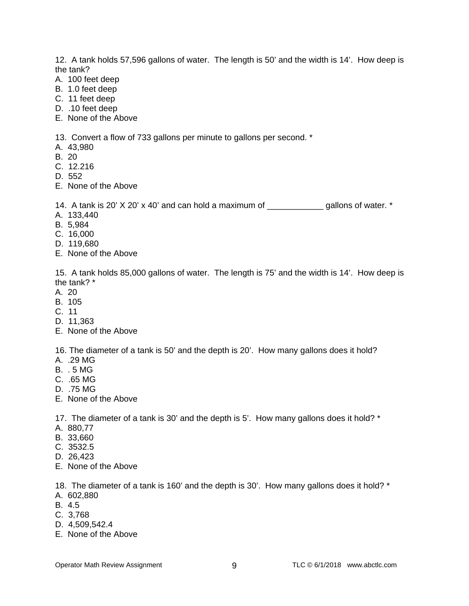12. A tank holds 57,596 gallons of water. The length is 50' and the width is 14'. How deep is the tank?

- A. 100 feet deep
- B. 1.0 feet deep
- C. 11 feet deep
- D. .10 feet deep
- E. None of the Above

13. Convert a flow of 733 gallons per minute to gallons per second. \*

- A. 43,980
- B. 20
- C. 12.216
- D. 552
- E. None of the Above

14. A tank is 20' X 20' x 40' and can hold a maximum of \_\_\_\_\_\_\_\_\_\_\_\_ gallons of water. \*

- A. 133,440
- B. 5,984
- C. 16,000
- D. 119,680
- E. None of the Above

15. A tank holds 85,000 gallons of water. The length is 75' and the width is 14'. How deep is the tank? \*

- A. 20
- B. 105
- C. 11
- D. 11,363
- E. None of the Above

16. The diameter of a tank is 50' and the depth is 20'. How many gallons does it hold?

- A. .29 MG
- B. . 5 MG
- C. .65 MG
- D. .75 MG
- E. None of the Above

17. The diameter of a tank is 30' and the depth is 5'. How many gallons does it hold? \*

- A. 880,77
- B. 33,660
- C. 3532.5
- D. 26,423
- E. None of the Above

18. The diameter of a tank is 160' and the depth is 30'. How many gallons does it hold? \*

- A. 602,880
- B. 4.5
- C. 3,768
- D. 4,509,542.4
- E. None of the Above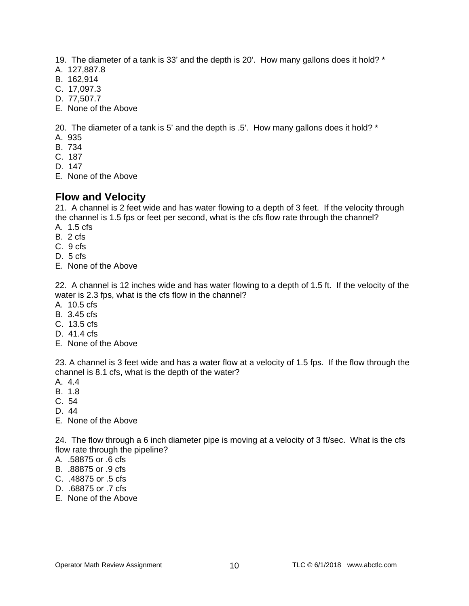- 19. The diameter of a tank is 33' and the depth is 20'. How many gallons does it hold? \*
- A. 127,887.8
- B. 162,914
- C. 17,097.3
- D. 77,507.7
- E. None of the Above

20. The diameter of a tank is 5' and the depth is .5'. How many gallons does it hold? \*

- A. 935
- B. 734
- C. 187
- D. 147
- E. None of the Above

# **Flow and Velocity**

21. A channel is 2 feet wide and has water flowing to a depth of 3 feet. If the velocity through the channel is 1.5 fps or feet per second, what is the cfs flow rate through the channel?

- A. 1.5 cfs
- B. 2 cfs
- C. 9 cfs
- D. 5 cfs
- E. None of the Above

22. A channel is 12 inches wide and has water flowing to a depth of 1.5 ft. If the velocity of the water is 2.3 fps, what is the cfs flow in the channel?

- A. 10.5 cfs
- B. 3.45 cfs
- C. 13.5 cfs
- D. 41.4 cfs
- E. None of the Above

23. A channel is 3 feet wide and has a water flow at a velocity of 1.5 fps. If the flow through the channel is 8.1 cfs, what is the depth of the water?

- A. 4.4
- B. 1.8
- C. 54
- D. 44
- E. None of the Above

24. The flow through a 6 inch diameter pipe is moving at a velocity of 3 ft/sec. What is the cfs flow rate through the pipeline?

- A. .58875 or .6 cfs
- B. .88875 or .9 cfs
- C. .48875 or .5 cfs
- D. .68875 or .7 cfs
- E. None of the Above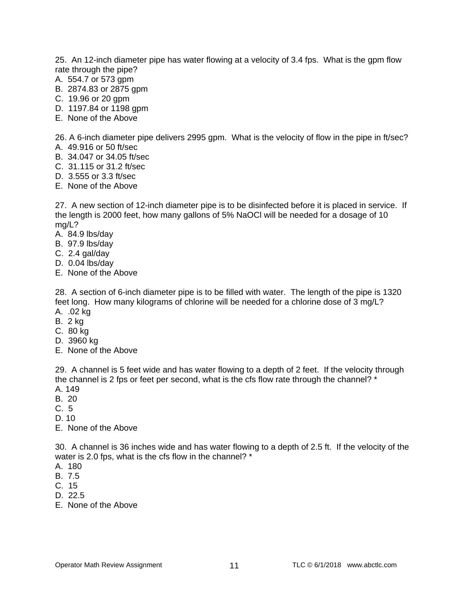25. An 12-inch diameter pipe has water flowing at a velocity of 3.4 fps. What is the gpm flow rate through the pipe?

- A. 554.7 or 573 gpm
- B. 2874.83 or 2875 gpm
- C. 19.96 or 20 gpm
- D. 1197.84 or 1198 gpm
- E. None of the Above

26. A 6-inch diameter pipe delivers 2995 gpm. What is the velocity of flow in the pipe in ft/sec? A. 49.916 or 50 ft/sec

- B. 34.047 or 34.05 ft/sec
- C. 31.115 or 31.2 ft/sec
- D. 3.555 or 3.3 ft/sec
- E. None of the Above

27. A new section of 12-inch diameter pipe is to be disinfected before it is placed in service. If the length is 2000 feet, how many gallons of 5% NaOCl will be needed for a dosage of 10 mg/L?

- A. 84.9 lbs/day
- B. 97.9 lbs/day
- C. 2.4 gal/day
- D. 0.04 lbs/day
- E. None of the Above

28. A section of 6-inch diameter pipe is to be filled with water. The length of the pipe is 1320 feet long. How many kilograms of chlorine will be needed for a chlorine dose of 3 mg/L? A. .02 kg

- B. 2 kg
- C. 80 kg
- D. 3960 kg
- E. None of the Above

29. A channel is 5 feet wide and has water flowing to a depth of 2 feet. If the velocity through the channel is 2 fps or feet per second, what is the cfs flow rate through the channel? \* A. 149

- B. 20
- C. 5
- D. 10

E. None of the Above

30. A channel is 36 inches wide and has water flowing to a depth of 2.5 ft. If the velocity of the water is 2.0 fps, what is the cfs flow in the channel? \*

- A. 180
- B. 7.5
- C. 15
- D. 22.5
- E. None of the Above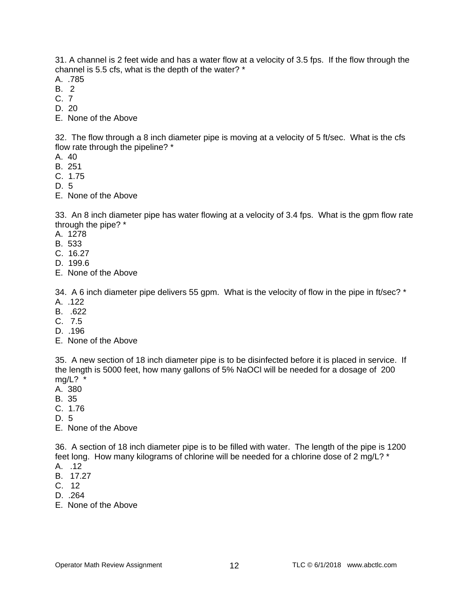31. A channel is 2 feet wide and has a water flow at a velocity of 3.5 fps. If the flow through the channel is 5.5 cfs, what is the depth of the water? \*

- A. .785
- B. 2
- C. 7
- D. 20
- E. None of the Above

32. The flow through a 8 inch diameter pipe is moving at a velocity of 5 ft/sec. What is the cfs flow rate through the pipeline? \*

- A. 40
- B. 251
- C. 1.75
- D. 5
- E. None of the Above

33. An 8 inch diameter pipe has water flowing at a velocity of 3.4 fps. What is the gpm flow rate through the pipe? \*

- A. 1278
- B. 533
- C. 16.27
- D. 199.6
- E. None of the Above

34. A 6 inch diameter pipe delivers 55 gpm. What is the velocity of flow in the pipe in ft/sec? \*

- A. .122
- B. .622
- C. 7.5
- D. .196
- E. None of the Above

35. A new section of 18 inch diameter pipe is to be disinfected before it is placed in service. If the length is 5000 feet, how many gallons of 5% NaOCl will be needed for a dosage of 200  $mg/L$ ? \*

- A. 380
- B. 35
- C. 1.76
- D. 5
- E. None of the Above

36. A section of 18 inch diameter pipe is to be filled with water. The length of the pipe is 1200 feet long. How many kilograms of chlorine will be needed for a chlorine dose of 2 mg/L? \* A. .12

- B. 17.27
- C. 12
- D. .264
- E. None of the Above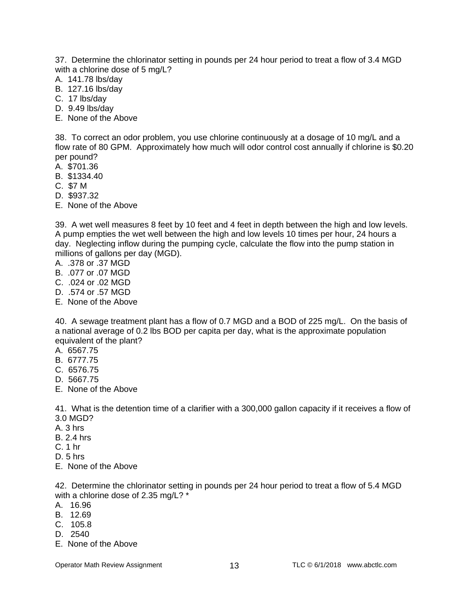37. Determine the chlorinator setting in pounds per 24 hour period to treat a flow of 3.4 MGD with a chlorine dose of 5 mg/L?

- A. 141.78 lbs/day
- B. 127.16 lbs/day
- C. 17 lbs/day
- D. 9.49 lbs/day
- E. None of the Above

38. To correct an odor problem, you use chlorine continuously at a dosage of 10 mg/L and a flow rate of 80 GPM. Approximately how much will odor control cost annually if chlorine is \$0.20 per pound?

- A. \$701.36
- B. \$1334.40
- C. \$7 M
- D. \$937.32
- E. None of the Above

39. A wet well measures 8 feet by 10 feet and 4 feet in depth between the high and low levels. A pump empties the wet well between the high and low levels 10 times per hour, 24 hours a day. Neglecting inflow during the pumping cycle, calculate the flow into the pump station in millions of gallons per day (MGD).

- A. .378 or .37 MGD
- B. .077 or .07 MGD
- C. .024 or .02 MGD
- D. .574 or .57 MGD
- E. None of the Above

40. A sewage treatment plant has a flow of 0.7 MGD and a BOD of 225 mg/L. On the basis of a national average of 0.2 lbs BOD per capita per day, what is the approximate population equivalent of the plant?

- A. 6567.75
- B. 6777.75
- C. 6576.75
- D. 5667.75
- E. None of the Above

41. What is the detention time of a clarifier with a 300,000 gallon capacity if it receives a flow of 3.0 MGD?

- A. 3 hrs
- B. 2.4 hrs
- C. 1 hr
- D. 5 hrs
- E. None of the Above

42. Determine the chlorinator setting in pounds per 24 hour period to treat a flow of 5.4 MGD with a chlorine dose of 2.35 mg/L? \*

- A. 16.96
- B. 12.69
- C. 105.8
- D. 2540
- E. None of the Above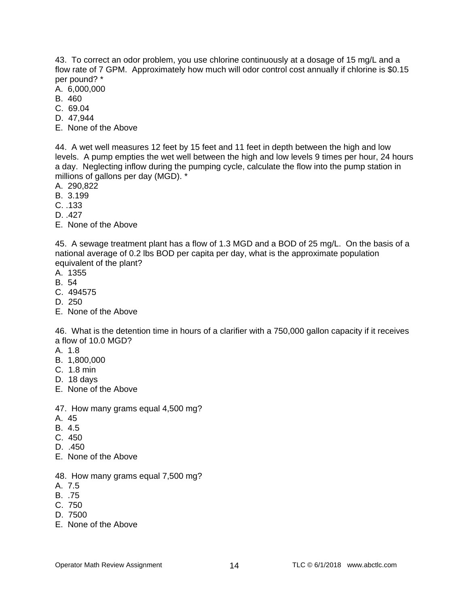43. To correct an odor problem, you use chlorine continuously at a dosage of 15 mg/L and a flow rate of 7 GPM. Approximately how much will odor control cost annually if chlorine is \$0.15 per pound? \*

- A. 6,000,000
- B. 460
- C. 69.04
- D. 47,944
- E. None of the Above

44. A wet well measures 12 feet by 15 feet and 11 feet in depth between the high and low levels. A pump empties the wet well between the high and low levels 9 times per hour, 24 hours a day. Neglecting inflow during the pumping cycle, calculate the flow into the pump station in millions of gallons per day (MGD). \*

- A. 290,822
- B. 3.199
- C. .133
- D. .427
- E. None of the Above

45. A sewage treatment plant has a flow of 1.3 MGD and a BOD of 25 mg/L. On the basis of a national average of 0.2 lbs BOD per capita per day, what is the approximate population equivalent of the plant?

- A. 1355
- B. 54
- C. 494575
- D. 250
- E. None of the Above

46. What is the detention time in hours of a clarifier with a 750,000 gallon capacity if it receives a flow of 10.0 MGD?

- A. 1.8
- B. 1,800,000
- C. 1.8 min
- D. 18 days
- E. None of the Above
- 47. How many grams equal 4,500 mg?
- A. 45
- B. 4.5
- C. 450
- D. .450
- E. None of the Above
- 48. How many grams equal 7,500 mg?
- A. 7.5
- B. .75
- C. 750
- D. 7500
- E. None of the Above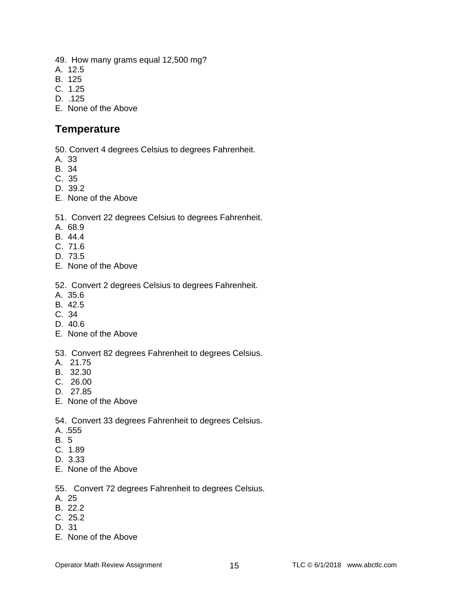- 49. How many grams equal 12,500 mg?
- A. 12.5
- B. 125
- C. 1.25
- D. .125
- E. None of the Above

### **Temperature**

- 50. Convert 4 degrees Celsius to degrees Fahrenheit.
- A. 33
- B. 34
- C. 35
- D. 39.2
- E. None of the Above

#### 51. Convert 22 degrees Celsius to degrees Fahrenheit.

- A. 68.9
- B. 44.4
- C. 71.6
- D. 73.5
- E. None of the Above

#### 52. Convert 2 degrees Celsius to degrees Fahrenheit.

- A. 35.6
- B. 42.5
- C. 34
- D. 40.6
- E. None of the Above

#### 53. Convert 82 degrees Fahrenheit to degrees Celsius.

- A. 21.75
- B. 32.30
- C. 26.00
- D. 27.85
- E. None of the Above

54. Convert 33 degrees Fahrenheit to degrees Celsius.

- A. .555
- B. 5
- C. 1.89
- D. 3.33
- E. None of the Above

#### 55. Convert 72 degrees Fahrenheit to degrees Celsius.

- A. 25
- B. 22.2
- C. 25.2
- D. 31
- E. None of the Above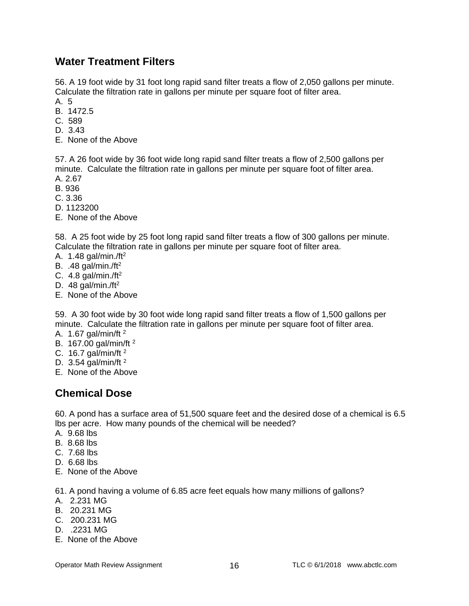# **Water Treatment Filters**

56. A 19 foot wide by 31 foot long rapid sand filter treats a flow of 2,050 gallons per minute. Calculate the filtration rate in gallons per minute per square foot of filter area.

- A. 5
- B. 1472.5
- C. 589
- D. 3.43
- E. None of the Above

57. A 26 foot wide by 36 foot wide long rapid sand filter treats a flow of 2,500 gallons per minute. Calculate the filtration rate in gallons per minute per square foot of filter area. A. 2.67

- B. 936
- C. 3.36
- D. 1123200
- E. None of the Above

58. A 25 foot wide by 25 foot long rapid sand filter treats a flow of 300 gallons per minute. Calculate the filtration rate in gallons per minute per square foot of filter area.

- A. 1.48 gal/min./ft2
- B. .48 gal/min./ft2
- C. 4.8 gal/min./ft $^2$
- D. 48 gal/min./ft<sup>2</sup>
- E. None of the Above

59. A 30 foot wide by 30 foot wide long rapid sand filter treats a flow of 1,500 gallons per minute. Calculate the filtration rate in gallons per minute per square foot of filter area.

- A. 1.67 gal/min/ft 2
- B. 167.00 gal/min/ft 2
- C. 16.7 gal/min/ft 2
- D. 3.54 gal/min/ft 2
- E. None of the Above

## **Chemical Dose**

60. A pond has a surface area of 51,500 square feet and the desired dose of a chemical is 6.5 lbs per acre. How many pounds of the chemical will be needed?

- A. 9.68 lbs
- B. 8.68 lbs
- C. 7.68 lbs
- D. 6.68 lbs
- E. None of the Above

61. A pond having a volume of 6.85 acre feet equals how many millions of gallons?

- A. 2.231 MG
- B. 20.231 MG
- C. 200.231 MG
- D. .2231 MG
- E. None of the Above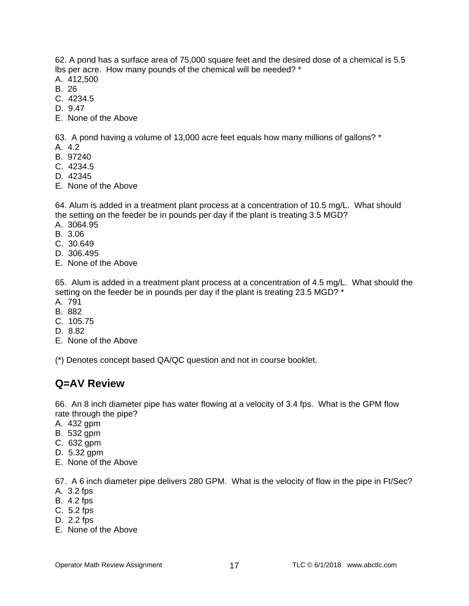62. A pond has a surface area of 75,000 square feet and the desired dose of a chemical is 5.5 lbs per acre. How many pounds of the chemical will be needed? \*

- A. 412,500
- B. 26
- C. 4234.5
- D. 9.47
- E. None of the Above

63. A pond having a volume of 13,000 acre feet equals how many millions of gallons? \*

- A. 4.2
- B. 97240
- C. 4234.5
- D. 42345
- E. None of the Above

64. Alum is added in a treatment plant process at a concentration of 10.5 mg/L. What should the setting on the feeder be in pounds per day if the plant is treating 3.5 MGD? A. 3064.95

- B. 3.06
- 
- C. 30.649
- D. 306.495
- E. None of the Above

65. Alum is added in a treatment plant process at a concentration of 4.5 mg/L. What should the setting on the feeder be in pounds per day if the plant is treating 23.5 MGD? \*

- A. 791
- B. 882
- C. 105.75
- D. 8.82
- E. None of the Above

(\*) Denotes concept based QA/QC question and not in course booklet.

## **Q=AV Review**

66. An 8 inch diameter pipe has water flowing at a velocity of 3.4 fps. What is the GPM flow rate through the pipe?

- A. 432 gpm
- B. 532 gpm
- C. 632 gpm
- D. 5.32 gpm
- E. None of the Above

67. A 6 inch diameter pipe delivers 280 GPM. What is the velocity of flow in the pipe in Ft/Sec?

- A. 3.2 fps
- B. 4.2 fps
- C. 5.2 fps
- D. 2.2 fps
- E. None of the Above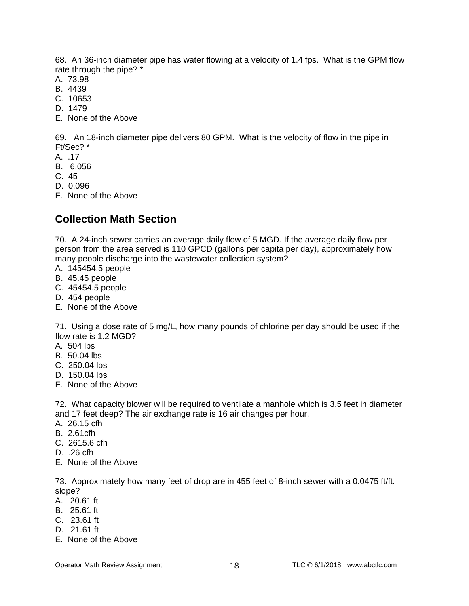68. An 36-inch diameter pipe has water flowing at a velocity of 1.4 fps. What is the GPM flow rate through the pipe? \*

- A. 73.98
- B. 4439
- C. 10653
- D. 1479
- E. None of the Above

69. An 18-inch diameter pipe delivers 80 GPM. What is the velocity of flow in the pipe in Ft/Sec? \*

- A. .17
- B. 6.056
- C. 45
- D. 0.096
- E. None of the Above

# **Collection Math Section**

70. A 24-inch sewer carries an average daily flow of 5 MGD. If the average daily flow per person from the area served is 110 GPCD (gallons per capita per day), approximately how many people discharge into the wastewater collection system?

- A. 145454.5 people
- B. 45.45 people
- C. 45454.5 people
- D. 454 people
- E. None of the Above

71. Using a dose rate of 5 mg/L, how many pounds of chlorine per day should be used if the flow rate is 1.2 MGD?

- A. 504 lbs
- B. 50.04 lbs
- C. 250.04 lbs
- D. 150.04 lbs
- E. None of the Above

72. What capacity blower will be required to ventilate a manhole which is 3.5 feet in diameter and 17 feet deep? The air exchange rate is 16 air changes per hour.

- A. 26.15 cfh
- B. 2.61cfh
- C. 2615.6 cfh
- D. .26 cfh
- E. None of the Above

73. Approximately how many feet of drop are in 455 feet of 8-inch sewer with a 0.0475 ft/ft. slope?

- A. 20.61 ft
- B. 25.61 ft
- C. 23.61 ft
- D. 21.61 ft
- E. None of the Above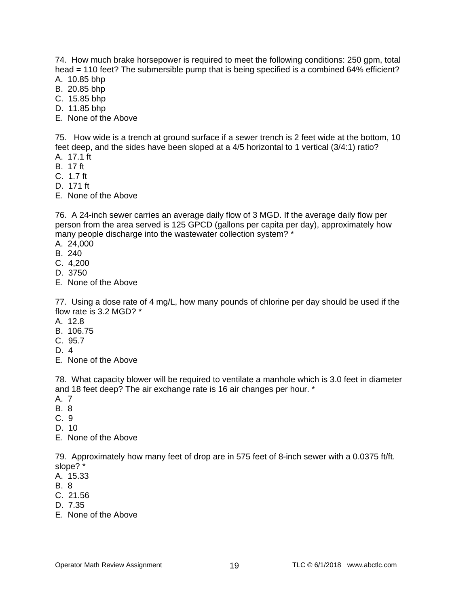74. How much brake horsepower is required to meet the following conditions: 250 gpm, total head = 110 feet? The submersible pump that is being specified is a combined 64% efficient?

- A. 10.85 bhp
- B. 20.85 bhp
- C. 15.85 bhp
- D. 11.85 bhp
- E. None of the Above

75. How wide is a trench at ground surface if a sewer trench is 2 feet wide at the bottom, 10 feet deep, and the sides have been sloped at a 4/5 horizontal to 1 vertical (3/4:1) ratio?

- A. 17.1 ft
- B. 17 ft
- C. 1.7 ft
- D. 171 ft
- E. None of the Above

76. A 24-inch sewer carries an average daily flow of 3 MGD. If the average daily flow per person from the area served is 125 GPCD (gallons per capita per day), approximately how many people discharge into the wastewater collection system? \*

- A. 24,000
- B. 240
- C. 4,200
- D. 3750
- E. None of the Above

77. Using a dose rate of 4 mg/L, how many pounds of chlorine per day should be used if the flow rate is 3.2 MGD? \*

- A. 12.8
- B. 106.75
- C. 95.7
- D. 4
- E. None of the Above

78. What capacity blower will be required to ventilate a manhole which is 3.0 feet in diameter and 18 feet deep? The air exchange rate is 16 air changes per hour. \*

- A. 7
- B. 8
- C. 9
- D. 10
- E. None of the Above

79. Approximately how many feet of drop are in 575 feet of 8-inch sewer with a 0.0375 ft/ft. slope? \*

- A. 15.33
- B. 8
- C. 21.56
- D. 7.35
- E. None of the Above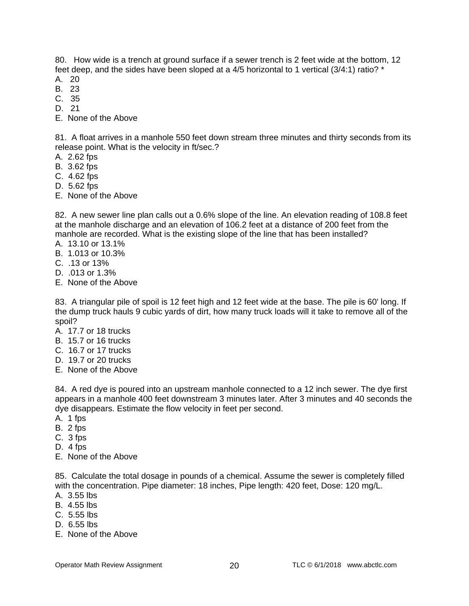80. How wide is a trench at ground surface if a sewer trench is 2 feet wide at the bottom, 12 feet deep, and the sides have been sloped at a 4/5 horizontal to 1 vertical (3/4:1) ratio? \*

- A. 20
- B. 23
- C. 35 D. 21
- 
- E. None of the Above

81. A float arrives in a manhole 550 feet down stream three minutes and thirty seconds from its release point. What is the velocity in ft/sec.?

- A. 2.62 fps
- B. 3.62 fps
- C. 4.62 fps
- D. 5.62 fps
- E. None of the Above

82. A new sewer line plan calls out a 0.6% slope of the line. An elevation reading of 108.8 feet at the manhole discharge and an elevation of 106.2 feet at a distance of 200 feet from the manhole are recorded. What is the existing slope of the line that has been installed?

- A. 13.10 or 13.1%
- B. 1.013 or 10.3%
- C. .13 or 13%
- D. .013 or 1.3%
- E. None of the Above

83. A triangular pile of spoil is 12 feet high and 12 feet wide at the base. The pile is 60' long. If the dump truck hauls 9 cubic yards of dirt, how many truck loads will it take to remove all of the spoil?

- A. 17.7 or 18 trucks
- B. 15.7 or 16 trucks
- C. 16.7 or 17 trucks
- D. 19.7 or 20 trucks
- E. None of the Above

84. A red dye is poured into an upstream manhole connected to a 12 inch sewer. The dye first appears in a manhole 400 feet downstream 3 minutes later. After 3 minutes and 40 seconds the dye disappears. Estimate the flow velocity in feet per second.

- A. 1 fps
- B. 2 fps
- C. 3 fps
- D. 4 fps
- E. None of the Above

85. Calculate the total dosage in pounds of a chemical. Assume the sewer is completely filled with the concentration. Pipe diameter: 18 inches, Pipe length: 420 feet, Dose: 120 mg/L.

- A. 3.55 lbs
- B. 4.55 lbs
- C. 5.55 lbs
- D. 6.55 lbs
- E. None of the Above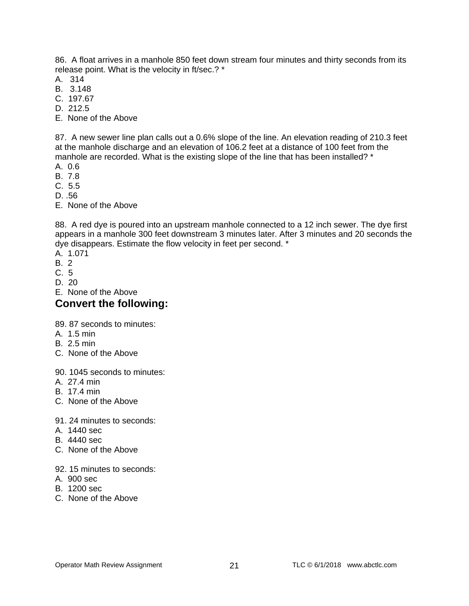86. A float arrives in a manhole 850 feet down stream four minutes and thirty seconds from its release point. What is the velocity in ft/sec.? \*

- A. 314
- B. 3.148
- C. 197.67
- D. 212.5
- E. None of the Above

87. A new sewer line plan calls out a 0.6% slope of the line. An elevation reading of 210.3 feet at the manhole discharge and an elevation of 106.2 feet at a distance of 100 feet from the manhole are recorded. What is the existing slope of the line that has been installed? \*

- A. 0.6
- B. 7.8
- C. 5.5
- D. .56
- E. None of the Above

88. A red dye is poured into an upstream manhole connected to a 12 inch sewer. The dye first appears in a manhole 300 feet downstream 3 minutes later. After 3 minutes and 20 seconds the dye disappears. Estimate the flow velocity in feet per second. \*

- A. 1.071
- B. 2
- C. 5
- D. 20
- E. None of the Above

## **Convert the following:**

89. 87 seconds to minutes:

- A. 1.5 min
- B. 2.5 min
- C. None of the Above

90. 1045 seconds to minutes:

- A. 27.4 min
- B. 17.4 min
- C. None of the Above

91. 24 minutes to seconds:

- A. 1440 sec
- B. 4440 sec
- C. None of the Above
- 92. 15 minutes to seconds:
- A. 900 sec
- B. 1200 sec
- C. None of the Above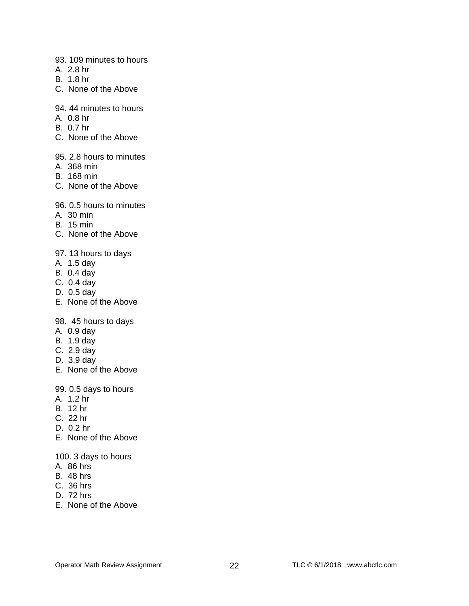- 93. 109 minutes to hours
- A. 2.8 hr
- B. 1.8 hr
- C. None of the Above
- 94. 44 minutes to hours
- A. 0.8 hr
- B. 0.7 hr
- C. None of the Above
- 95. 2.8 hours to minutes
- A. 368 min
- B. 168 min
- C. None of the Above
- 96. 0.5 hours to minutes
- A. 30 min
- B. 15 min
- C. None of the Above

#### 97. 13 hours to days

- A. 1.5 day
- B. 0.4 day
- C. 0.4 day
- D. 0.5 day
- E. None of the Above

#### 98. 45 hours to days

- A. 0.9 day
- B. 1.9 day
- C. 2.9 day
- D. 3.9 day
- E. None of the Above
- 99. 0.5 days to hours
- A. 1.2 hr
- B. 12 hr
- C. 22 hr
- D. 0.2 hr
- E. None of the Above

#### 100. 3 days to hours

- A. 86 hrs
- B. 48 hrs
- C. 36 hrs
- D. 72 hrs
- E. None of the Above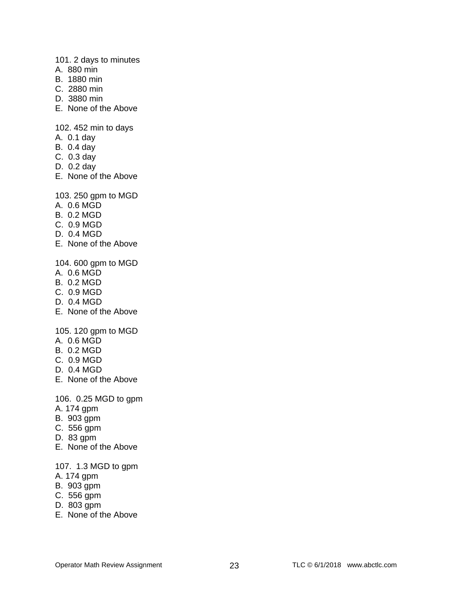101. 2 days to minutes

- A. 880 min
- B. 1880 min
- C. 2880 min
- D. 3880 min
- E. None of the Above

102. 452 min to days

- A. 0.1 day
- B. 0.4 day
- C. 0.3 day
- D. 0.2 day
- E. None of the Above

103. 250 gpm to MGD

- A. 0.6 MGD
- B. 0.2 MGD
- C. 0.9 MGD
- D. 0.4 MGD
- E. None of the Above

104. 600 gpm to MGD

- A. 0.6 MGD
- B. 0.2 MGD
- C. 0.9 MGD
- D. 0.4 MGD
- E. None of the Above

105. 120 gpm to MGD

- A. 0.6 MGD
- B. 0.2 MGD
- C. 0.9 MGD
- D. 0.4 MGD
- E. None of the Above

106. 0.25 MGD to gpm

- A. 174 gpm
- B. 903 gpm
- C. 556 gpm
- D. 83 gpm
- E. None of the Above

#### 107. 1.3 MGD to gpm

- A. 174 gpm
- B. 903 gpm
- C. 556 gpm
- D. 803 gpm
- E. None of the Above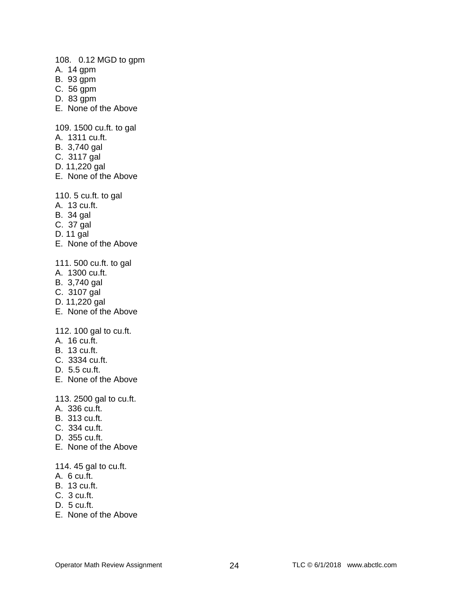108. 0.12 MGD to gpm

- A. 14 gpm
- B. 93 gpm
- C. 56 gpm
- D. 83 gpm
- E. None of the Above

109. 1500 cu.ft. to gal

- A. 1311 cu.ft.
- B. 3,740 gal
- C. 3117 gal
- D. 11,220 gal
- E. None of the Above

110. 5 cu.ft. to gal

- A. 13 cu.ft.
- B. 34 gal
- C. 37 gal
- D. 11 gal
- E. None of the Above

111. 500 cu.ft. to gal

- A. 1300 cu.ft.
- B. 3,740 gal
- C. 3107 gal
- D. 11,220 gal
- E. None of the Above

112. 100 gal to cu.ft.

- A. 16 cu.ft.
- B. 13 cu.ft.
- C. 3334 cu.ft.
- D. 5.5 cu.ft.
- E. None of the Above

113. 2500 gal to cu.ft.

- A. 336 cu.ft.
- B. 313 cu.ft.
- C. 334 cu.ft.
- D. 355 cu.ft.
- E. None of the Above
- 114. 45 gal to cu.ft.
- A. 6 cu.ft.
- B. 13 cu.ft.
- C. 3 cu.ft.
- D. 5 cu.ft.
- E. None of the Above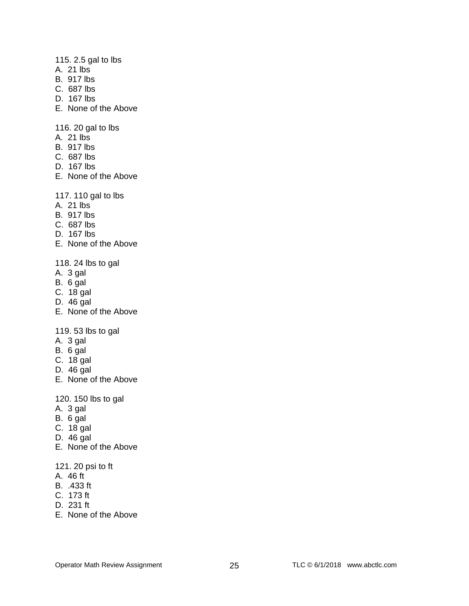#### 115. 2.5 gal to lbs

- A. 21 lbs
- B. 917 lbs
- C. 687 lbs
- D. 167 lbs
- E. None of the Above

116. 20 gal to lbs

- A. 21 lbs
- B. 917 lbs
- C. 687 lbs
- D. 167 lbs
- E. None of the Above

117. 110 gal to lbs

- A. 21 lbs
- B. 917 lbs
- C. 687 lbs
- D. 167 lbs
- E. None of the Above
- 118. 24 lbs to gal
- A. 3 gal
- B. 6 gal
- C. 18 gal
- D. 46 gal
- E. None of the Above

119. 53 lbs to gal

- A. 3 gal
- B. 6 gal
- C. 18 gal
- D. 46 gal
- E. None of the Above

120. 150 lbs to gal

- A. 3 gal
- B. 6 gal
- C. 18 gal
- D. 46 gal
- E. None of the Above
- 121. 20 psi to ft
- A. 46 ft
- B. .433 ft
- C. 173 ft
- D. 231 ft
- E. None of the Above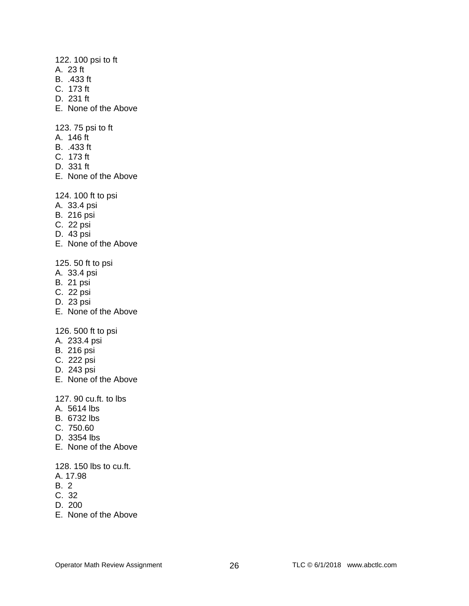122. 100 psi to ft

- A. 23 ft
- B. .433 ft
- C. 173 ft
- D. 231 ft
- E. None of the Above

123. 75 psi to ft

- A. 146 ft
- B. .433 ft
- C. 173 ft
- D. 331 ft
- E. None of the Above

124. 100 ft to psi

- A. 33.4 psi
- B. 216 psi
- C. 22 psi
- D. 43 psi
- E. None of the Above

125. 50 ft to psi

- A. 33.4 psi
- B. 21 psi
- C. 22 psi
- D. 23 psi
- E. None of the Above

126. 500 ft to psi

- A. 233.4 psi
- B. 216 psi
- C. 222 psi
- D. 243 psi
- E. None of the Above

127. 90 cu.ft. to lbs

- A. 5614 lbs
- B. 6732 lbs
- C. 750.60
- D. 3354 lbs
- E. None of the Above

128. 150 lbs to cu.ft.

- A. 17.98
- B. 2
- C. 32
- D. 200
- E. None of the Above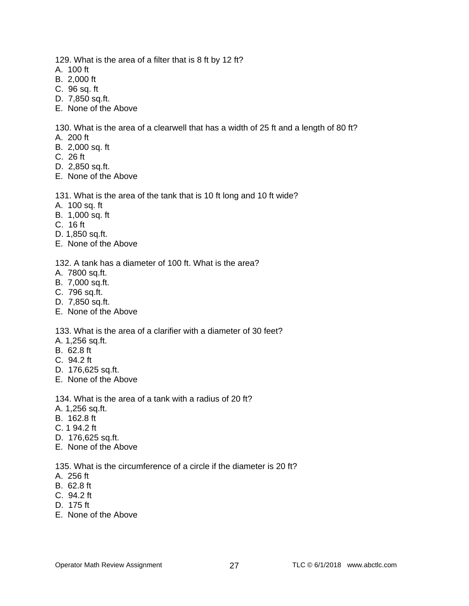129. What is the area of a filter that is 8 ft by 12 ft?

- A. 100 ft
- B. 2,000 ft
- C. 96 sq. ft
- D. 7,850 sq.ft.
- E. None of the Above

130. What is the area of a clearwell that has a width of 25 ft and a length of 80 ft?

- A. 200 ft
- B. 2,000 sq. ft
- C. 26 ft
- D. 2,850 sq.ft.
- E. None of the Above

#### 131. What is the area of the tank that is 10 ft long and 10 ft wide?

- A. 100 sq. ft
- B. 1,000 sq. ft
- C. 16 ft
- D. 1,850 sq.ft.
- E. None of the Above

132. A tank has a diameter of 100 ft. What is the area?

- A. 7800 sq.ft.
- B. 7,000 sq.ft.
- C. 796 sq.ft.
- D. 7,850 sq.ft.
- E. None of the Above

133. What is the area of a clarifier with a diameter of 30 feet?

- A. 1,256 sq.ft.
- B. 62.8 ft
- C. 94.2 ft
- D. 176,625 sq.ft.
- E. None of the Above

134. What is the area of a tank with a radius of 20 ft?

- A. 1,256 sq.ft.
- B. 162.8 ft
- C. 1 94.2 ft
- D. 176,625 sq.ft.
- E. None of the Above

135. What is the circumference of a circle if the diameter is 20 ft?

- A. 256 ft
- B. 62.8 ft
- C. 94.2 ft
- D. 175 ft
- E. None of the Above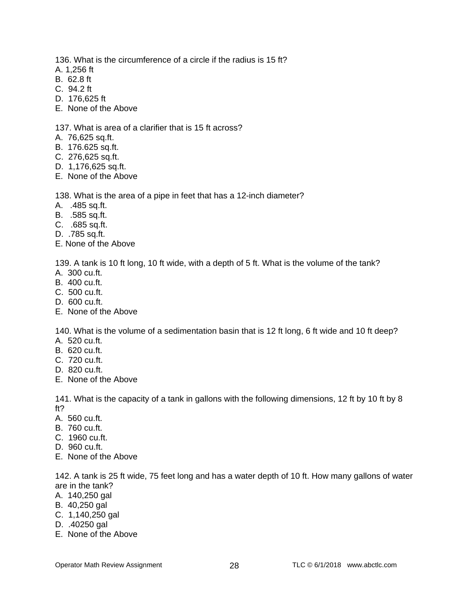136. What is the circumference of a circle if the radius is 15 ft?

- A. 1,256 ft
- B. 62.8 ft
- C. 94.2 ft
- D. 176,625 ft
- E. None of the Above

#### 137. What is area of a clarifier that is 15 ft across?

- A. 76,625 sq.ft.
- B. 176.625 sq.ft.
- C. 276,625 sq.ft.
- D. 1,176,625 sq.ft.
- E. None of the Above

138. What is the area of a pipe in feet that has a 12-inch diameter?

- A. .485 sq.ft.
- B. .585 sq.ft.
- C. .685 sq.ft.
- D. .785 sq.ft.
- E. None of the Above

139. A tank is 10 ft long, 10 ft wide, with a depth of 5 ft. What is the volume of the tank? A. 300 cu.ft.

- B. 400 cu.ft.
- C. 500 cu.ft.
- D. 600 cu.ft.
- E. None of the Above

140. What is the volume of a sedimentation basin that is 12 ft long, 6 ft wide and 10 ft deep?

- A. 520 cu.ft.
- B. 620 cu.ft.
- C. 720 cu.ft.
- D. 820 cu.ft.
- E. None of the Above

141. What is the capacity of a tank in gallons with the following dimensions, 12 ft by 10 ft by 8 ft?

- A. 560 cu.ft.
- B. 760 cu.ft.
- C. 1960 cu.ft.
- D. 960 cu.ft.
- E. None of the Above

142. A tank is 25 ft wide, 75 feet long and has a water depth of 10 ft. How many gallons of water are in the tank?

- A. 140,250 gal
- B. 40,250 gal
- C. 1,140,250 gal
- D. .40250 gal
- E. None of the Above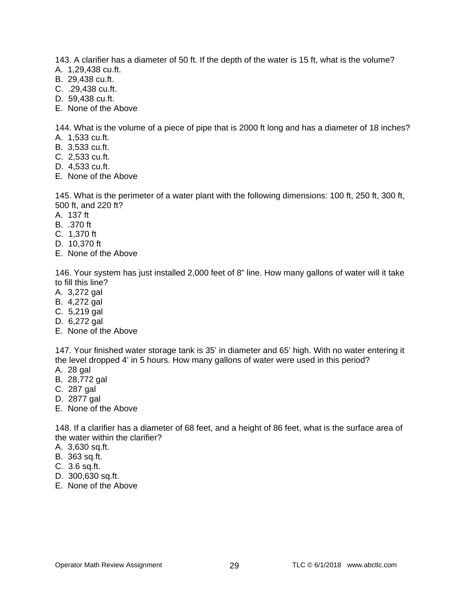143. A clarifier has a diameter of 50 ft. If the depth of the water is 15 ft, what is the volume?

- A. 1,29,438 cu.ft.
- B. 29,438 cu.ft.
- C. .29,438 cu.ft.
- D. 59,438 cu.ft.
- E. None of the Above

144. What is the volume of a piece of pipe that is 2000 ft long and has a diameter of 18 inches?

- A. 1,533 cu.ft.
- B. 3,533 cu.ft.
- C. 2,533 cu.ft.
- D. 4,533 cu.ft.
- E. None of the Above

145. What is the perimeter of a water plant with the following dimensions: 100 ft, 250 ft, 300 ft, 500 ft, and 220 ft?

- A. 137 ft
- B. .370 ft
- C. 1,370 ft
- D. 10,370 ft
- E. None of the Above

146. Your system has just installed 2,000 feet of 8" line. How many gallons of water will it take to fill this line?

- A. 3,272 gal
- B. 4,272 gal
- C. 5,219 gal
- D. 6,272 gal
- E. None of the Above

147. Your finished water storage tank is 35' in diameter and 65' high. With no water entering it the level dropped 4' in 5 hours. How many gallons of water were used in this period?

- A. 28 gal
- B. 28,772 gal
- C. 287 gal
- D. 2877 gal
- E. None of the Above

148. If a clarifier has a diameter of 68 feet, and a height of 86 feet, what is the surface area of the water within the clarifier?

- A. 3,630 sq.ft.
- B. 363 sq.ft.
- C. 3.6 sq.ft.
- D. 300,630 sq.ft.
- E. None of the Above